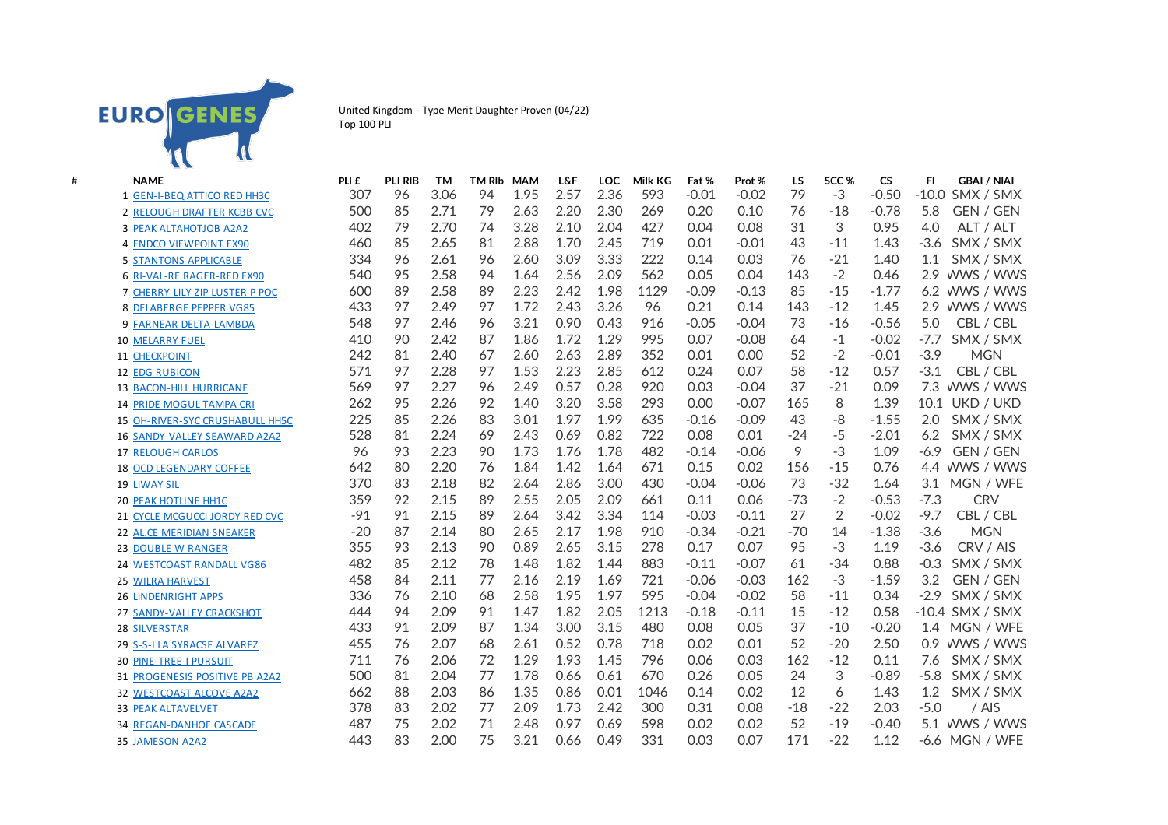

United Kingdom - Type Merit Daughter Proven (04/22) Top 100 PLI

| # | <b>NAME</b>                       | PLI £ | <b>PLI RIB</b> | <b>TM</b> | <b>TM RIb</b> | <b>MAM</b> | <b>L&amp;F</b> | <b>LOC</b> | Milk KG | Fat %   | Prot %  | LS    | SCC <sub>%</sub> | <b>CS</b> | <b>GBAI / NIAI</b><br>FI.  |
|---|-----------------------------------|-------|----------------|-----------|---------------|------------|----------------|------------|---------|---------|---------|-------|------------------|-----------|----------------------------|
|   | 1 GEN-I-BEQ ATTICO RED HH3C       | 307   | 96             | 3.06      | 94            | 1.95       | 2.57           | 2.36       | 593     | $-0.01$ | $-0.02$ | 79    | $-3$             | $-0.50$   | $-10.0$<br>SMX / SMX       |
|   | <b>2 RELOUGH DRAFTER KCBB CVC</b> | 500   | 85             | 2.71      | 79            | 2.63       | 2.20           | 2.30       | 269     | 0.20    | 0.10    | 76    | $-18$            | $-0.78$   | 5.8<br>GEN / GEN           |
|   | <b>3 PEAK ALTAHOTJOB A2A2</b>     | 402   | 79             | 2.70      | 74            | 3.28       | 2.10           | 2.04       | 427     | 0.04    | 0.08    | 31    | 3                | 0.95      | 4.0<br>ALT / ALT           |
|   | <b>4 ENDCO VIEWPOINT EX90</b>     | 460   | 85             | 2.65      | 81            | 2.88       | 1.70           | 2.45       | 719     | 0.01    | $-0.01$ | 43    | $-11$            | 1.43      | $-3.6$<br>SMX / SMX        |
|   | <b>5 STANTONS APPLICABLE</b>      | 334   | 96             | 2.61      | 96            | 2.60       | 3.09           | 3.33       | 222     | 0.14    | 0.03    | 76    | $-21$            | 1.40      | SMX / SMX<br>1.1           |
|   | <b>6 RI-VAL-RE RAGER-RED EX90</b> | 540   | 95             | 2.58      | 94            | 1.64       | 2.56           | 2.09       | 562     | 0.05    | 0.04    | 143   | $-2$             | 0.46      | WWS / WWS<br>2.9           |
|   | 7 CHERRY-LILY ZIP LUSTER P POC    | 600   | 89             | 2.58      | 89            | 2.23       | 2.42           | 1.98       | 1129    | $-0.09$ | $-0.13$ | 85    | $-15$            | $-1.77$   | WWS / WWS<br>6.2           |
|   | <b>8 DELABERGE PEPPER VG85</b>    | 433   | 97             | 2.49      | 97            | 1.72       | 2.43           | 3.26       | 96      | 0.21    | 0.14    | 143   | $-12$            | 1.45      | 2.9<br>WWS / WWS           |
|   | <b>9 FARNEAR DELTA-LAMBDA</b>     | 548   | 97             | 2.46      | 96            | 3.21       | 0.90           | 0.43       | 916     | $-0.05$ | $-0.04$ | 73    | $-16$            | $-0.56$   | CBL / CBL<br>5.0           |
|   | <b>10 MELARRY FUEL</b>            | 410   | 90             | 2.42      | 87            | 1.86       | 1.72           | 1.29       | 995     | 0.07    | $-0.08$ | 64    | $-1$             | $-0.02$   | $-7.7$<br>SMX / SMX        |
|   | 11 CHECKPOINT                     | 242   | 81             | 2.40      | 67            | 2.60       | 2.63           | 2.89       | 352     | 0.01    | 0.00    | 52    | $-2$             | $-0.01$   | $-3.9$<br><b>MGN</b>       |
|   | <b>12 EDG RUBICON</b>             | 571   | 97             | 2.28      | 97            | 1.53       | 2.23           | 2.85       | 612     | 0.24    | 0.07    | 58    | $-12$            | 0.57      | $-3.1$<br>CBL / CBL        |
|   | <b>13 BACON-HILL HURRICANE</b>    | 569   | 97             | 2.27      | 96            | 2.49       | 0.57           | 0.28       | 920     | 0.03    | $-0.04$ | 37    | $-21$            | 0.09      | WWS / WWS<br>7.3           |
|   | <b>14 PRIDE MOGUL TAMPA CRI</b>   | 262   | 95             | 2.26      | 92            | 1.40       | 3.20           | 3.58       | 293     | 0.00    | $-0.07$ | 165   | 8                | 1.39      | 10.1<br>UKD / UKD          |
|   | 15 OH-RIVER-SYC CRUSHABULL HH5C   | 225   | 85             | 2.26      | 83            | 3.01       | 1.97           | 1.99       | 635     | $-0.16$ | $-0.09$ | 43    | -8               | $-1.55$   | 2.0<br>SMX / SMX           |
|   | 16 SANDY-VALLEY SEAWARD A2A2      | 528   | 81             | 2.24      | 69            | 2.43       | 0.69           | 0.82       | 722     | 0.08    | 0.01    | $-24$ | $-5$             | $-2.01$   | 6.2<br>SMX / SMX           |
|   | <b>17 RELOUGH CARLOS</b>          | 96    | 93             | 2.23      | 90            | 1.73       | 1.76           | 1.78       | 482     | $-0.14$ | $-0.06$ | 9     | $-3$             | 1.09      | $-6.9$<br><b>GEN / GEN</b> |
|   | <b>18 OCD LEGENDARY COFFEE</b>    | 642   | 80             | 2.20      | 76            | 1.84       | 1.42           | 1.64       | 671     | 0.15    | 0.02    | 156   | $-15$            | 0.76      | WWS / WWS<br>$4.4^{\circ}$ |
|   | <b>19 LIWAY SIL</b>               | 370   | 83             | 2.18      | 82            | 2.64       | 2.86           | 3.00       | 430     | $-0.04$ | $-0.06$ | 73    | $-32$            | 1.64      | MGN / WFE<br>3.1           |
|   | 20 PEAK HOTLINE HH1C              | 359   | 92             | 2.15      | 89            | 2.55       | 2.05           | 2.09       | 661     | 0.11    | 0.06    | $-73$ | $-2$             | $-0.53$   | $-7.3$<br><b>CRV</b>       |
|   | 21 CYCLE MCGUCCI JORDY RED CVC    | $-91$ | 91             | 2.15      | 89            | 2.64       | 3.42           | 3.34       | 114     | $-0.03$ | $-0.11$ | 27    | $\overline{2}$   | $-0.02$   | $-9.7$<br>CBL / CBL        |
|   | 22 AL.CE MERIDIAN SNEAKER         | $-20$ | 87             | 2.14      | 80            | 2.65       | 2.17           | 1.98       | 910     | $-0.34$ | $-0.21$ | $-70$ | 14               | $-1.38$   | <b>MGN</b><br>$-3.6$       |
|   | <b>23 DOUBLE W RANGER</b>         | 355   | 93             | 2.13      | 90            | 0.89       | 2.65           | 3.15       | 278     | 0.17    | 0.07    | 95    | $-3$             | 1.19      | $-3.6$<br>CRV / AIS        |
|   | 24 WESTCOAST RANDALL VG86         | 482   | 85             | 2.12      | 78            | 1.48       | 1.82           | 1.44       | 883     | $-0.11$ | $-0.07$ | 61    | $-34$            | 0.88      | $-0.3$<br>SMX / SMX        |
|   | 25 WILRA HARVEST                  | 458   | 84             | 2.11      | 77            | 2.16       | 2.19           | 1.69       | 721     | $-0.06$ | $-0.03$ | 162   | $-3$             | $-1.59$   | GEN / GEN<br>3.2           |
|   | <b>26 LINDENRIGHT APPS</b>        | 336   | 76             | 2.10      | 68            | 2.58       | 1.95           | 1.97       | 595     | $-0.04$ | $-0.02$ | 58    | $-11$            | 0.34      | $-2.9$<br>SMX / SMX        |
|   | 27 SANDY-VALLEY CRACKSHOT         | 444   | 94             | 2.09      | 91            | 1.47       | 1.82           | 2.05       | 1213    | $-0.18$ | $-0.11$ | 15    | $-12$            | 0.58      | -10.4 SMX / SMX            |
|   | <b>28 SILVERSTAR</b>              | 433   | 91             | 2.09      | 87            | 1.34       | 3.00           | 3.15       | 480     | 0.08    | 0.05    | 37    | $-10$            | $-0.20$   | MGN / WFE<br>1.4           |
|   | 29 S-S-I LA SYRACSE ALVAREZ       | 455   | 76             | 2.07      | 68            | 2.61       | 0.52           | 0.78       | 718     | 0.02    | 0.01    | 52    | $-20$            | 2.50      | WWS / WWS<br>0.9           |
|   | <b>30 PINE-TREE-I PURSUIT</b>     | 711   | 76             | 2.06      | 72            | 1.29       | 1.93           | 1.45       | 796     | 0.06    | 0.03    | 162   | $-12$            | 0.11      | 7.6<br>SMX / SMX           |
|   | 31 PROGENESIS POSITIVE PB A2A2    | 500   | 81             | 2.04      | 77            | 1.78       | 0.66           | 0.61       | 670     | 0.26    | 0.05    | 24    | 3                | $-0.89$   | $-5.8$<br>SMX / SMX        |
|   | <b>32 WESTCOAST ALCOVE A2A2</b>   | 662   | 88             | 2.03      | 86            | 1.35       | 0.86           | 0.01       | 1046    | 0.14    | 0.02    | 12    | 6                | 1.43      | 1.2<br>SMX / SMX           |
|   | <b>33 PEAK ALTAVELVET</b>         | 378   | 83             | 2.02      | 77            | 2.09       | 1.73           | 2.42       | 300     | 0.31    | 0.08    | $-18$ | $-22$            | 2.03      | $-5.0$<br>/ AIS            |
|   | <b>34 REGAN-DANHOF CASCADE</b>    | 487   | 75             | 2.02      | 71            | 2.48       | 0.97           | 0.69       | 598     | 0.02    | 0.02    | 52    | $-19$            | $-0.40$   | WWS / WWS<br>5.1           |
|   | 35 JAMESON A2A2                   | 443   | 83             | 2.00      | 75            | 3.21       | 0.66           | 0.49       | 331     | 0.03    | 0.07    | 171   | $-22$            | 1.12      | -6.6 MGN / WFE             |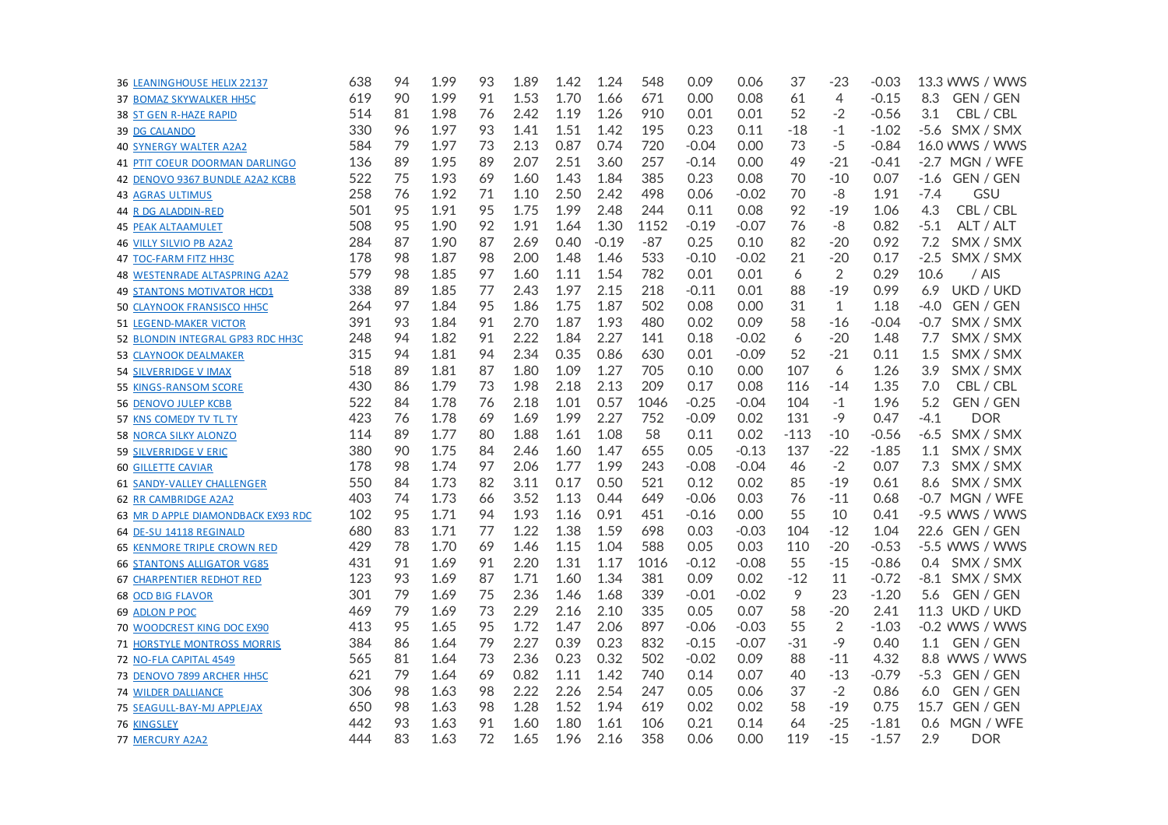| 36 LEANINGHOUSE HELIX 22137          | 638 | 94 | 1.99 | 93 | 1.89 | 1.42 | 1.24    | 548   | 0.09    | 0.06    | 37     | -23            | $-0.03$ | 13.3 WWS / WWS       |
|--------------------------------------|-----|----|------|----|------|------|---------|-------|---------|---------|--------|----------------|---------|----------------------|
| <b>37 BOMAZ SKYWALKER HH5C</b>       | 619 | 90 | 1.99 | 91 | 1.53 | 1.70 | 1.66    | 671   | 0.00    | 0.08    | 61     | $\overline{4}$ | $-0.15$ | 8.3<br>GEN / GEN     |
| <b>38 ST GEN R-HAZE RAPID</b>        | 514 | 81 | 1.98 | 76 | 2.42 | 1.19 | 1.26    | 910   | 0.01    | 0.01    | 52     | $-2$           | $-0.56$ | 3.1<br>CBL / CBL     |
| <b>39 DG CALANDO</b>                 | 330 | 96 | 1.97 | 93 | 1.41 | 1.51 | 1.42    | 195   | 0.23    | 0.11    | $-18$  | -1             | $-1.02$ | -5.6 SMX / SMX       |
| <b>40 SYNERGY WALTER A2A2</b>        | 584 | 79 | 1.97 | 73 | 2.13 | 0.87 | 0.74    | 720   | $-0.04$ | 0.00    | 73     | $-5$           | $-0.84$ | 16.0 WWS / WWS       |
| 41 PTIT COEUR DOORMAN DARLINGO       | 136 | 89 | 1.95 | 89 | 2.07 | 2.51 | 3.60    | 257   | $-0.14$ | 0.00    | 49     | $-21$          | $-0.41$ | -2.7 MGN / WFE       |
| 42 DENOVO 9367 BUNDLE A2A2 KCBB      | 522 | 75 | 1.93 | 69 | 1.60 | 1.43 | 1.84    | 385   | 0.23    | 0.08    | 70     | $-10$          | 0.07    | GEN / GEN<br>-1.6    |
| <b>43 AGRAS ULTIMUS</b>              | 258 | 76 | 1.92 | 71 | 1.10 | 2.50 | 2.42    | 498   | 0.06    | $-0.02$ | 70     | $-8$           | 1.91    | GSU<br>$-7.4$        |
| <b>44 R DG ALADDIN-RED</b>           | 501 | 95 | 1.91 | 95 | 1.75 | 1.99 | 2.48    | 244   | 0.11    | 0.08    | 92     | $-19$          | 1.06    | 4.3<br>CBL / CBL     |
| <b>45 PEAK ALTAAMULET</b>            | 508 | 95 | 1.90 | 92 | 1.91 | 1.64 | 1.30    | 1152  | $-0.19$ | $-0.07$ | 76     | -8             | 0.82    | $-5.1$<br>ALT / ALT  |
| <b>46 VILLY SILVIO PB A2A2</b>       | 284 | 87 | 1.90 | 87 | 2.69 | 0.40 | $-0.19$ | $-87$ | 0.25    | 0.10    | 82     | $-20$          | 0.92    | 7.2<br>SMX / SMX     |
| 47 TOC-FARM FITZ HH3C                | 178 | 98 | 1.87 | 98 | 2.00 | 1.48 | 1.46    | 533   | $-0.10$ | $-0.02$ | 21     | $-20$          | 0.17    | $-2.5$<br>SMX / SMX  |
| <b>48 WESTENRADE ALTASPRING A2A2</b> | 579 | 98 | 1.85 | 97 | 1.60 | 1.11 | 1.54    | 782   | 0.01    | 0.01    | 6      | $\overline{2}$ | 0.29    | 10.6<br>/ AIS        |
| <b>49 STANTONS MOTIVATOR HCD1</b>    | 338 | 89 | 1.85 | 77 | 2.43 | 1.97 | 2.15    | 218   | $-0.11$ | 0.01    | 88     | $-19$          | 0.99    | UKD / UKD<br>6.9     |
| <b>50 CLAYNOOK FRANSISCO HH5C</b>    | 264 | 97 | 1.84 | 95 | 1.86 | 1.75 | 1.87    | 502   | 0.08    | 0.00    | 31     | $\mathbf{1}$   | 1.18    | $-4.0$<br>GEN / GEN  |
| <b>51 LEGEND-MAKER VICTOR</b>        | 391 | 93 | 1.84 | 91 | 2.70 | 1.87 | 1.93    | 480   | 0.02    | 0.09    | 58     | $-16$          | $-0.04$ | SMX / SMX<br>-0.7    |
| 52 BLONDIN INTEGRAL GP83 RDC HH3C    | 248 | 94 | 1.82 | 91 | 2.22 | 1.84 | 2.27    | 141   | 0.18    | $-0.02$ | 6      | $-20$          | 1.48    | 7.7<br>SMX / SMX     |
| <b>53 CLAYNOOK DEALMAKER</b>         | 315 | 94 | 1.81 | 94 | 2.34 | 0.35 | 0.86    | 630   | 0.01    | $-0.09$ | 52     | $-21$          | 0.11    | 1.5<br>SMX / SMX     |
| <b>54 SILVERRIDGE V IMAX</b>         | 518 | 89 | 1.81 | 87 | 1.80 | 1.09 | 1.27    | 705   | 0.10    | 0.00    | 107    | 6              | 1.26    | 3.9<br>SMX / SMX     |
| 55 KINGS-RANSOM SCORE                | 430 | 86 | 1.79 | 73 | 1.98 | 2.18 | 2.13    | 209   | 0.17    | 0.08    | 116    | $-14$          | 1.35    | 7.0<br>CBL / CBL     |
| <b>56 DENOVO JULEP KCBB</b>          | 522 | 84 | 1.78 | 76 | 2.18 | 1.01 | 0.57    | 1046  | $-0.25$ | $-0.04$ | 104    | -1             | 1.96    | 5.2<br>GEN / GEN     |
| 57 KNS COMEDY TV TL TY               | 423 | 76 | 1.78 | 69 | 1.69 | 1.99 | 2.27    | 752   | $-0.09$ | 0.02    | 131    | -9             | 0.47    | $-4.1$<br><b>DOR</b> |
| <b>58 NORCA SILKY ALONZO</b>         | 114 | 89 | 1.77 | 80 | 1.88 | 1.61 | 1.08    | 58    | 0.11    | 0.02    | $-113$ | $-10$          | $-0.56$ | $-6.5$<br>SMX / SMX  |
| <b>59 SILVERRIDGE V ERIC</b>         | 380 | 90 | 1.75 | 84 | 2.46 | 1.60 | 1.47    | 655   | 0.05    | $-0.13$ | 137    | $-22$          | $-1.85$ | 1.1<br>SMX / SMX     |
| <b>60 GILLETTE CAVIAR</b>            | 178 | 98 | 1.74 | 97 | 2.06 | 1.77 | 1.99    | 243   | $-0.08$ | $-0.04$ | 46     | $-2$           | 0.07    | 7.3<br>SMX / SMX     |
| <b>61 SANDY-VALLEY CHALLENGER</b>    | 550 | 84 | 1.73 | 82 | 3.11 | 0.17 | 0.50    | 521   | 0.12    | 0.02    | 85     | $-19$          | 0.61    | 8.6<br>SMX / SMX     |
| 62 RR CAMBRIDGE A2A2                 | 403 | 74 | 1.73 | 66 | 3.52 | 1.13 | 0.44    | 649   | $-0.06$ | 0.03    | 76     | $-11$          | 0.68    | -0.7 MGN / WFE       |
| 63 MR D APPLE DIAMONDBACK EX93 RDC   | 102 | 95 | 1.71 | 94 | 1.93 | 1.16 | 0.91    | 451   | $-0.16$ | 0.00    | 55     | 10             | 0.41    | -9.5 WWS / WWS       |
| 64 DE-SU 14118 REGINALD              | 680 | 83 | 1.71 | 77 | 1.22 | 1.38 | 1.59    | 698   | 0.03    | $-0.03$ | 104    | $-12$          | 1.04    | 22.6 GEN / GEN       |
| <b>65 KENMORE TRIPLE CROWN RED</b>   | 429 | 78 | 1.70 | 69 | 1.46 | 1.15 | 1.04    | 588   | 0.05    | 0.03    | 110    | $-20$          | $-0.53$ | -5.5 WWS / WWS       |
| <b>66 STANTONS ALLIGATOR VG85</b>    | 431 | 91 | 1.69 | 91 | 2.20 | 1.31 | 1.17    | 1016  | $-0.12$ | $-0.08$ | 55     | $-15$          | $-0.86$ | 0.4<br>SMX / SMX     |
| <b>67 CHARPENTIER REDHOT RED</b>     | 123 | 93 | 1.69 | 87 | 1.71 | 1.60 | 1.34    | 381   | 0.09    | 0.02    | $-12$  | 11             | $-0.72$ | $-8.1$ SMX / SMX     |
| <b>68 OCD BIG FLAVOR</b>             | 301 | 79 | 1.69 | 75 | 2.36 | 1.46 | 1.68    | 339   | $-0.01$ | $-0.02$ | 9      | 23             | $-1.20$ | 5.6<br>GEN / GEN     |
| 69 ADLON P POC                       | 469 | 79 | 1.69 | 73 | 2.29 | 2.16 | 2.10    | 335   | 0.05    | 0.07    | 58     | $-20$          | 2.41    | 11.3 UKD / UKD       |
| 70 WOODCREST KING DOC EX90           | 413 | 95 | 1.65 | 95 | 1.72 | 1.47 | 2.06    | 897   | $-0.06$ | $-0.03$ | 55     | $\overline{2}$ | $-1.03$ | -0.2 WWS / WWS       |
| <b>71 HORSTYLE MONTROSS MORRIS</b>   | 384 | 86 | 1.64 | 79 | 2.27 | 0.39 | 0.23    | 832   | $-0.15$ | $-0.07$ | $-31$  | $-9$           | 0.40    | GEN / GEN<br>1.1     |
| 72 NO-FLA CAPITAL 4549               | 565 | 81 | 1.64 | 73 | 2.36 | 0.23 | 0.32    | 502   | $-0.02$ | 0.09    | 88     | $-11$          | 4.32    | 8.8 WWS / WWS        |
| 73 DENOVO 7899 ARCHER HH5C           | 621 | 79 | 1.64 | 69 | 0.82 | 1.11 | 1.42    | 740   | 0.14    | 0.07    | 40     | $-13$          | $-0.79$ | $-5.3$<br>GEN / GEN  |
| <b>74 WILDER DALLIANCE</b>           | 306 | 98 | 1.63 | 98 | 2.22 | 2.26 | 2.54    | 247   | 0.05    | 0.06    | 37     | $-2$           | 0.86    | GEN / GEN<br>6.0     |
| 75 SEAGULL-BAY-MJ APPLEJAX           | 650 | 98 | 1.63 | 98 | 1.28 | 1.52 | 1.94    | 619   | 0.02    | 0.02    | 58     | $-19$          | 0.75    | 15.7<br>GEN / GEN    |
| <b>76 KINGSLEY</b>                   | 442 | 93 | 1.63 | 91 | 1.60 | 1.80 | 1.61    | 106   | 0.21    | 0.14    | 64     | $-25$          | $-1.81$ | 0.6<br>MGN / WFE     |
| 77 MERCURY A2A2                      | 444 | 83 | 1.63 | 72 | 1.65 | 1.96 | 2.16    | 358   | 0.06    | 0.00    | 119    | $-15$          | $-1.57$ | 2.9<br><b>DOR</b>    |